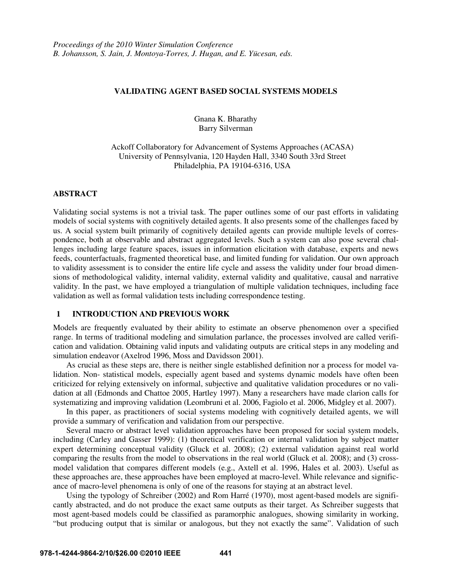### **VALIDATING AGENT BASED SOCIAL SYSTEMS MODELS**

Gnana K. Bharathy Barry Silverman

# Ackoff Collaboratory for Advancement of Systems Approaches (ACASA) University of Pennsylvania, 120 Hayden Hall, 3340 South 33rd Street Philadelphia, PA 19104-6316, USA

### **ABSTRACT**

Validating social systems is not a trivial task. The paper outlines some of our past efforts in validating models of social systems with cognitively detailed agents. It also presents some of the challenges faced by us. A social system built primarily of cognitively detailed agents can provide multiple levels of correspondence, both at observable and abstract aggregated levels. Such a system can also pose several challenges including large feature spaces, issues in information elicitation with database, experts and news feeds, counterfactuals, fragmented theoretical base, and limited funding for validation. Our own approach to validity assessment is to consider the entire life cycle and assess the validity under four broad dimensions of methodological validity, internal validity, external validity and qualitative, causal and narrative validity. In the past, we have employed a triangulation of multiple validation techniques, including face validation as well as formal validation tests including correspondence testing.

# **1 INTRODUCTION AND PREVIOUS WORK**

Models are frequently evaluated by their ability to estimate an observe phenomenon over a specified range. In terms of traditional modeling and simulation parlance, the processes involved are called verification and validation. Obtaining valid inputs and validating outputs are critical steps in any modeling and simulation endeavor (Axelrod 1996, Moss and Davidsson 2001).

As crucial as these steps are, there is neither single established definition nor a process for model validation. Non- statistical models, especially agent based and systems dynamic models have often been criticized for relying extensively on informal, subjective and qualitative validation procedures or no validation at all (Edmonds and Chattoe 2005, Hartley 1997). Many a researchers have made clarion calls for systematizing and improving validation (Leombruni et al. 2006, Fagiolo et al. 2006, Midgley et al. 2007).

In this paper, as practitioners of social systems modeling with cognitively detailed agents, we will provide a summary of verification and validation from our perspective.

Several macro or abstract level validation approaches have been proposed for social system models, including (Carley and Gasser 1999): (1) theoretical verification or internal validation by subject matter expert determining conceptual validity (Gluck et al. 2008); (2) external validation against real world comparing the results from the model to observations in the real world (Gluck et al. 2008); and (3) crossmodel validation that compares different models (e.g., Axtell et al. 1996, Hales et al. 2003). Useful as these approaches are, these approaches have been employed at macro-level. While relevance and significance of macro-level phenomena is only of one of the reasons for staying at an abstract level.

Using the typology of Schreiber (2002) and Rom Harré (1970), most agent-based models are significantly abstracted, and do not produce the exact same outputs as their target. As Schreiber suggests that most agent-based models could be classified as paramorphic analogues, showing similarity in working, "but producing output that is similar or analogous, but they not exactly the same". Validation of such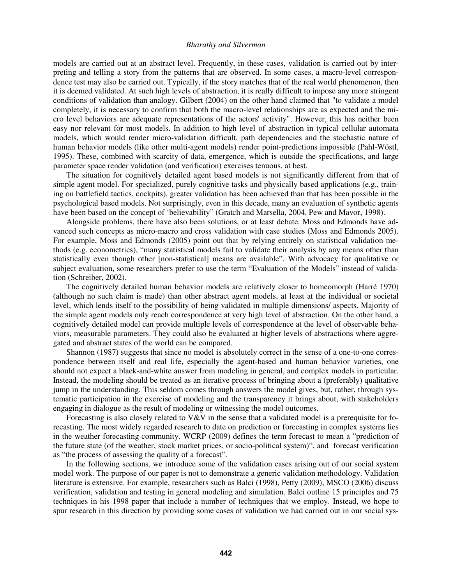models are carried out at an abstract level. Frequently, in these cases, validation is carried out by interpreting and telling a story from the patterns that are observed. In some cases, a macro-level correspondence test may also be carried out. Typically, if the story matches that of the real world phenomenon, then it is deemed validated. At such high levels of abstraction, it is really difficult to impose any more stringent conditions of validation than analogy. Gilbert (2004) on the other hand claimed that "to validate a model completely, it is necessary to confirm that both the macro-level relationships are as expected and the micro level behaviors are adequate representations of the actors' activity". However, this has neither been easy nor relevant for most models. In addition to high level of abstraction in typical cellular automata models, which would render micro-validation difficult, path dependencies and the stochastic nature of human behavior models (like other multi-agent models) render point-predictions impossible (Pahl-Wöstl, 1995). These, combined with scarcity of data, emergence, which is outside the specifications, and large parameter space render validation (and verification) exercises tenuous, at best.

The situation for cognitively detailed agent based models is not significantly different from that of simple agent model. For specialized, purely cognitive tasks and physically based applications (e.g., training on battlefield tactics, cockpits), greater validation has been achieved than that has been possible in the psychological based models. Not surprisingly, even in this decade, many an evaluation of synthetic agents have been based on the concept of 'believability" (Gratch and Marsella, 2004, Pew and Mavor, 1998).

Alongside problems, there have also been solutions, or at least debate. Moss and Edmonds have advanced such concepts as micro-macro and cross validation with case studies (Moss and Edmonds 2005). For example, Moss and Edmonds (2005) point out that by relying entirely on statistical validation methods (e.g. econometrics), "many statistical models fail to validate their analysis by any means other than statistically even though other [non-statistical] means are available". With advocacy for qualitative or subject evaluation, some researchers prefer to use the term "Evaluation of the Models" instead of validation (Schreiber, 2002).

The cognitively detailed human behavior models are relatively closer to homeomorph (Harré 1970) (although no such claim is made) than other abstract agent models, at least at the individual or societal level, which lends itself to the possibility of being validated in multiple dimensions/ aspects. Majority of the simple agent models only reach correspondence at very high level of abstraction. On the other hand, a cognitively detailed model can provide multiple levels of correspondence at the level of observable behaviors, measurable parameters. They could also be evaluated at higher levels of abstractions where aggregated and abstract states of the world can be compared.

Shannon (1987) suggests that since no model is absolutely correct in the sense of a one-to-one correspondence between itself and real life, especially the agent-based and human behavior varieties, one should not expect a black-and-white answer from modeling in general, and complex models in particular. Instead, the modeling should be treated as an iterative process of bringing about a (preferably) qualitative jump in the understanding. This seldom comes through answers the model gives, but, rather, through systematic participation in the exercise of modeling and the transparency it brings about, with stakeholders engaging in dialogue as the result of modeling or witnessing the model outcomes.

Forecasting is also closely related to  $V&V$  in the sense that a validated model is a prerequisite for forecasting. The most widely regarded research to date on prediction or forecasting in complex systems lies in the weather forecasting community. WCRP (2009) defines the term forecast to mean a "prediction of the future state (of the weather, stock market prices, or socio-political system)", and forecast verification as "the process of assessing the quality of a forecast".

In the following sections, we introduce some of the validation cases arising out of our social system model work. The purpose of our paper is not to demonstrate a generic validation methodology. Validation literature is extensive. For example, researchers such as Balci (1998), Petty (2009), MSCO (2006) discuss verification, validation and testing in general modeling and simulation. Balci outline 15 principles and 75 techniques in his 1998 paper that include a number of techniques that we employ. Instead, we hope to spur research in this direction by providing some cases of validation we had carried out in our social sys-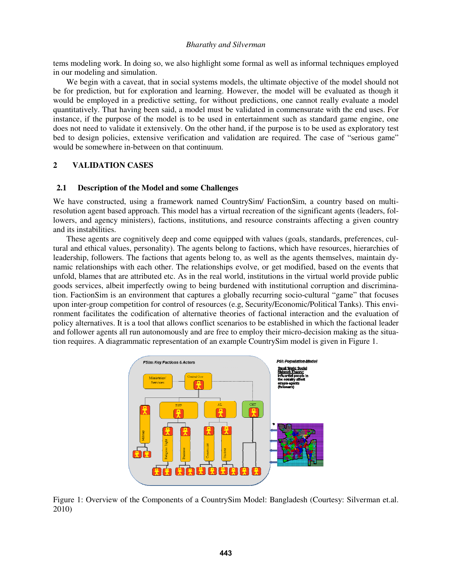tems modeling work. In doing so, we also highlight some formal as well as informal techniques employed in our modeling and simulation.

We begin with a caveat, that in social systems models, the ultimate objective of the model should not be for prediction, but for exploration and learning. However, the model will be evaluated as though it would be employed in a predictive setting, for without predictions, one cannot really evaluate a model quantitatively. That having been said, a model must be validated in commensurate with the end uses. For instance, if the purpose of the model is to be used in entertainment such as standard game engine, one does not need to validate it extensively. On the other hand, if the purpose is to be used as exploratory test bed to design policies, extensive verification and validation are required. The case of "serious game" would be somewhere in-between on that continuum.

# **2 VALIDATION CASES**

# **2.1 Description of the Model and some Challenges**

We have constructed, using a framework named CountrySim/ FactionSim, a country based on multiresolution agent based approach. This model has a virtual recreation of the significant agents (leaders, followers, and agency ministers), factions, institutions, and resource constraints affecting a given country and its instabilities.

 These agents are cognitively deep and come equipped with values (goals, standards, preferences, cultural and ethical values, personality). The agents belong to factions, which have resources, hierarchies of leadership, followers. The factions that agents belong to, as well as the agents themselves, maintain dynamic relationships with each other. The relationships evolve, or get modified, based on the events that unfold, blames that are attributed etc. As in the real world, institutions in the virtual world provide public goods services, albeit imperfectly owing to being burdened with institutional corruption and discrimination. FactionSim is an environment that captures a globally recurring socio-cultural "game" that focuses upon inter-group competition for control of resources (e.g, Security/Economic/Political Tanks). This environment facilitates the codification of alternative theories of factional interaction and the evaluation of policy alternatives. It is a tool that allows conflict scenarios to be established in which the factional leader and follower agents all run autonomously and are free to employ their micro-decision making as the situation requires. A diagrammatic representation of an example CountrySim model is given in Figure 1.



Figure 1: Overview of the Components of a CountrySim Model: Bangladesh (Courtesy: Silverman et.al. 2010)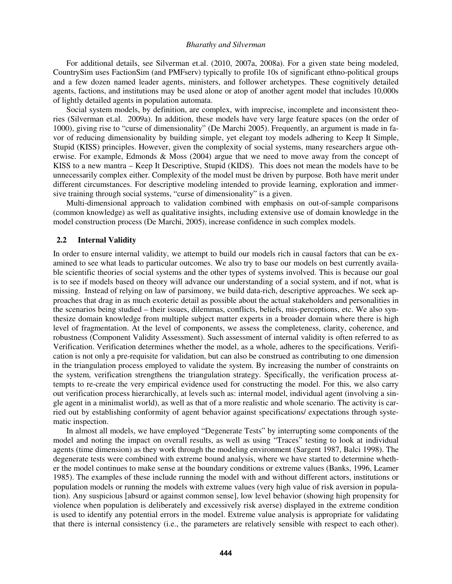For additional details, see Silverman et.al. (2010, 2007a, 2008a). For a given state being modeled, CountrySim uses FactionSim (and PMFserv) typically to profile 10s of significant ethno-political groups and a few dozen named leader agents, ministers, and follower archetypes. These cognitively detailed agents, factions, and institutions may be used alone or atop of another agent model that includes 10,000s of lightly detailed agents in population automata.

Social system models, by definition, are complex, with imprecise, incomplete and inconsistent theories (Silverman et.al. 2009a). In addition, these models have very large feature spaces (on the order of 1000), giving rise to "curse of dimensionality" (De Marchi 2005). Frequently, an argument is made in favor of reducing dimensionality by building simple, yet elegant toy models adhering to Keep It Simple, Stupid (KISS) principles. However, given the complexity of social systems, many researchers argue otherwise. For example, Edmonds & Moss (2004) argue that we need to move away from the concept of KISS to a new mantra – Keep It Descriptive, Stupid (KIDS). This does not mean the models have to be unnecessarily complex either. Complexity of the model must be driven by purpose. Both have merit under different circumstances. For descriptive modeling intended to provide learning, exploration and immersive training through social systems, "curse of dimensionality" is a given.

Multi-dimensional approach to validation combined with emphasis on out-of-sample comparisons (common knowledge) as well as qualitative insights, including extensive use of domain knowledge in the model construction process (De Marchi, 2005), increase confidence in such complex models.

## **2.2 Internal Validity**

In order to ensure internal validity, we attempt to build our models rich in causal factors that can be examined to see what leads to particular outcomes. We also try to base our models on best currently available scientific theories of social systems and the other types of systems involved. This is because our goal is to see if models based on theory will advance our understanding of a social system, and if not, what is missing. Instead of relying on law of parsimony, we build data-rich, descriptive approaches. We seek approaches that drag in as much exoteric detail as possible about the actual stakeholders and personalities in the scenarios being studied – their issues, dilemmas, conflicts, beliefs, mis-perceptions, etc. We also synthesize domain knowledge from multiple subject matter experts in a broader domain where there is high level of fragmentation. At the level of components, we assess the completeness, clarity, coherence, and robustness (Component Validity Assessment). Such assessment of internal validity is often referred to as Verification. Verification determines whether the model, as a whole, adheres to the specifications. Verification is not only a pre-requisite for validation, but can also be construed as contributing to one dimension in the triangulation process employed to validate the system. By increasing the number of constraints on the system, verification strengthens the triangulation strategy. Specifically, the verification process attempts to re-create the very empirical evidence used for constructing the model. For this, we also carry out verification process hierarchically, at levels such as: internal model, individual agent (involving a single agent in a minimalist world), as well as that of a more realistic and whole scenario. The activity is carried out by establishing conformity of agent behavior against specifications/ expectations through systematic inspection.

In almost all models, we have employed "Degenerate Tests" by interrupting some components of the model and noting the impact on overall results, as well as using "Traces" testing to look at individual agents (time dimension) as they work through the modeling environment (Sargent 1987, Balci 1998). The degenerate tests were combined with extreme bound analysis, where we have started to determine whether the model continues to make sense at the boundary conditions or extreme values (Banks, 1996, Leamer 1985). The examples of these include running the model with and without different actors, institutions or population models or running the models with extreme values (very high value of risk aversion in population). Any suspicious [absurd or against common sense], low level behavior (showing high propensity for violence when population is deliberately and excessively risk averse) displayed in the extreme condition is used to identify any potential errors in the model. Extreme value analysis is appropriate for validating that there is internal consistency (i.e., the parameters are relatively sensible with respect to each other).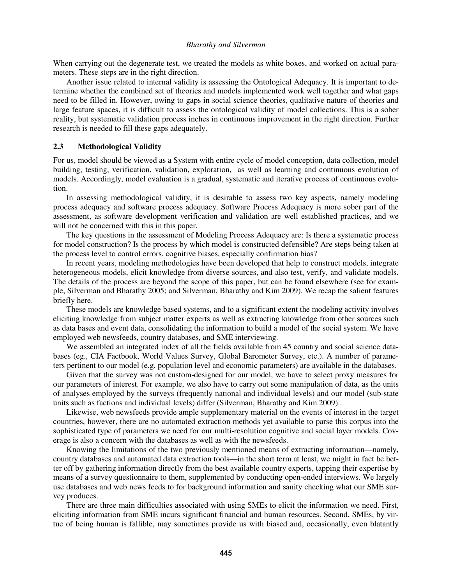When carrying out the degenerate test, we treated the models as white boxes, and worked on actual parameters. These steps are in the right direction.

Another issue related to internal validity is assessing the Ontological Adequacy. It is important to determine whether the combined set of theories and models implemented work well together and what gaps need to be filled in. However, owing to gaps in social science theories, qualitative nature of theories and large feature spaces, it is difficult to assess the ontological validity of model collections. This is a sober reality, but systematic validation process inches in continuous improvement in the right direction. Further research is needed to fill these gaps adequately.

# **2.3 Methodological Validity**

For us, model should be viewed as a System with entire cycle of model conception, data collection, model building, testing, verification, validation, exploration, as well as learning and continuous evolution of models. Accordingly, model evaluation is a gradual, systematic and iterative process of continuous evolution.

In assessing methodological validity, it is desirable to assess two key aspects, namely modeling process adequacy and software process adequacy. Software Process Adequacy is more sober part of the assessment, as software development verification and validation are well established practices, and we will not be concerned with this in this paper.

The key questions in the assessment of Modeling Process Adequacy are: Is there a systematic process for model construction? Is the process by which model is constructed defensible? Are steps being taken at the process level to control errors, cognitive biases, especially confirmation bias?

In recent years, modeling methodologies have been developed that help to construct models, integrate heterogeneous models, elicit knowledge from diverse sources, and also test, verify, and validate models. The details of the process are beyond the scope of this paper, but can be found elsewhere (see for example, Silverman and Bharathy 2005; and Silverman, Bharathy and Kim 2009). We recap the salient features briefly here.

These models are knowledge based systems, and to a significant extent the modeling activity involves eliciting knowledge from subject matter experts as well as extracting knowledge from other sources such as data bases and event data, consolidating the information to build a model of the social system. We have employed web newsfeeds, country databases, and SME interviewing.

We assembled an integrated index of all the fields available from 45 country and social science databases (eg., CIA Factbook, World Values Survey, Global Barometer Survey, etc.). A number of parameters pertinent to our model (e.g. population level and economic parameters) are available in the databases.

Given that the survey was not custom-designed for our model, we have to select proxy measures for our parameters of interest. For example, we also have to carry out some manipulation of data, as the units of analyses employed by the surveys (frequently national and individual levels) and our model (sub-state units such as factions and individual levels) differ (Silverman, Bharathy and Kim 2009)..

Likewise, web newsfeeds provide ample supplementary material on the events of interest in the target countries, however, there are no automated extraction methods yet available to parse this corpus into the sophisticated type of parameters we need for our multi-resolution cognitive and social layer models. Coverage is also a concern with the databases as well as with the newsfeeds.

Knowing the limitations of the two previously mentioned means of extracting information—namely, country databases and automated data extraction tools—in the short term at least, we might in fact be better off by gathering information directly from the best available country experts, tapping their expertise by means of a survey questionnaire to them, supplemented by conducting open-ended interviews. We largely use databases and web news feeds to for background information and sanity checking what our SME survey produces.

There are three main difficulties associated with using SMEs to elicit the information we need. First, eliciting information from SME incurs significant financial and human resources. Second, SMEs, by virtue of being human is fallible, may sometimes provide us with biased and, occasionally, even blatantly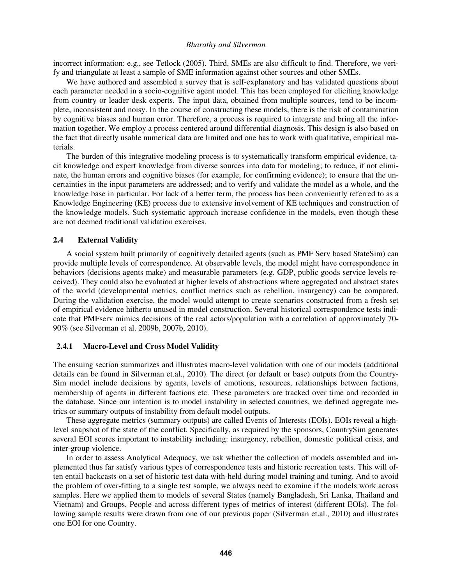incorrect information: e.g., see Tetlock (2005). Third, SMEs are also difficult to find. Therefore, we verify and triangulate at least a sample of SME information against other sources and other SMEs.

We have authored and assembled a survey that is self-explanatory and has validated questions about each parameter needed in a socio-cognitive agent model. This has been employed for eliciting knowledge from country or leader desk experts. The input data, obtained from multiple sources, tend to be incomplete, inconsistent and noisy. In the course of constructing these models, there is the risk of contamination by cognitive biases and human error. Therefore, a process is required to integrate and bring all the information together. We employ a process centered around differential diagnosis. This design is also based on the fact that directly usable numerical data are limited and one has to work with qualitative, empirical materials.

The burden of this integrative modeling process is to systematically transform empirical evidence, tacit knowledge and expert knowledge from diverse sources into data for modeling; to reduce, if not eliminate, the human errors and cognitive biases (for example, for confirming evidence); to ensure that the uncertainties in the input parameters are addressed; and to verify and validate the model as a whole, and the knowledge base in particular. For lack of a better term, the process has been conveniently referred to as a Knowledge Engineering (KE) process due to extensive involvement of KE techniques and construction of the knowledge models. Such systematic approach increase confidence in the models, even though these are not deemed traditional validation exercises.

# **2.4 External Validity**

A social system built primarily of cognitively detailed agents (such as PMF Serv based StateSim) can provide multiple levels of correspondence. At observable levels, the model might have correspondence in behaviors (decisions agents make) and measurable parameters (e.g. GDP, public goods service levels received). They could also be evaluated at higher levels of abstractions where aggregated and abstract states of the world (developmental metrics, conflict metrics such as rebellion, insurgency) can be compared. During the validation exercise, the model would attempt to create scenarios constructed from a fresh set of empirical evidence hitherto unused in model construction. Several historical correspondence tests indicate that PMFserv mimics decisions of the real actors/population with a correlation of approximately 70- 90% (see Silverman et al. 2009b, 2007b, 2010).

# **2.4.1 Macro-Level and Cross Model Validity**

The ensuing section summarizes and illustrates macro-level validation with one of our models (additional details can be found in Silverman et.al., 2010). The direct (or default or base) outputs from the Country-Sim model include decisions by agents, levels of emotions, resources, relationships between factions, membership of agents in different factions etc. These parameters are tracked over time and recorded in the database. Since our intention is to model instability in selected countries, we defined aggregate metrics or summary outputs of instability from default model outputs.

These aggregate metrics (summary outputs) are called Events of Interests (EOIs). EOIs reveal a highlevel snapshot of the state of the conflict. Specifically, as required by the sponsors, CountrySim generates several EOI scores important to instability including: insurgency, rebellion, domestic political crisis, and inter-group violence.

In order to assess Analytical Adequacy, we ask whether the collection of models assembled and implemented thus far satisfy various types of correspondence tests and historic recreation tests. This will often entail backcasts on a set of historic test data with-held during model training and tuning. And to avoid the problem of over-fitting to a single test sample, we always need to examine if the models work across samples. Here we applied them to models of several States (namely Bangladesh, Sri Lanka, Thailand and Vietnam) and Groups, People and across different types of metrics of interest (different EOIs). The following sample results were drawn from one of our previous paper (Silverman et.al., 2010) and illustrates one EOI for one Country.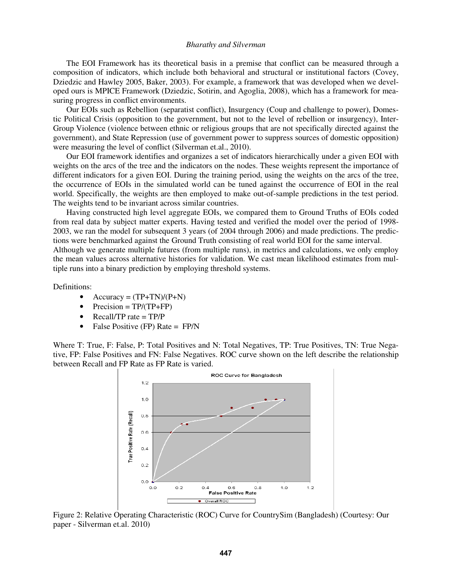The EOI Framework has its theoretical basis in a premise that conflict can be measured through a composition of indicators, which include both behavioral and structural or institutional factors (Covey, Dziedzic and Hawley 2005, Baker, 2003). For example, a framework that was developed when we developed ours is MPICE Framework (Dziedzic, Sotirin, and Agoglia, 2008), which has a framework for measuring progress in conflict environments.

Our EOIs such as Rebellion (separatist conflict), Insurgency (Coup and challenge to power), Domestic Political Crisis (opposition to the government, but not to the level of rebellion or insurgency), Inter-Group Violence (violence between ethnic or religious groups that are not specifically directed against the government), and State Repression (use of government power to suppress sources of domestic opposition) were measuring the level of conflict (Silverman et.al., 2010).

Our EOI framework identifies and organizes a set of indicators hierarchically under a given EOI with weights on the arcs of the tree and the indicators on the nodes. These weights represent the importance of different indicators for a given EOI. During the training period, using the weights on the arcs of the tree, the occurrence of EOIs in the simulated world can be tuned against the occurrence of EOI in the real world. Specifically, the weights are then employed to make out-of-sample predictions in the test period. The weights tend to be invariant across similar countries.

Having constructed high level aggregate EOIs, we compared them to Ground Truths of EOIs coded from real data by subject matter experts. Having tested and verified the model over the period of 1998- 2003, we ran the model for subsequent 3 years (of 2004 through 2006) and made predictions. The predictions were benchmarked against the Ground Truth consisting of real world EOI for the same interval.

Although we generate multiple futures (from multiple runs), in metrics and calculations, we only employ the mean values across alternative histories for validation. We cast mean likelihood estimates from multiple runs into a binary prediction by employing threshold systems.

Definitions:

- Accuracy =  $(TP+TN)/(P+N)$
- Precision =  $TP/(TP+FP)$
- Recall/TP rate = TP/P
- False Positive (FP) Rate = FP/N

Where T: True, F: False, P: Total Positives and N: Total Negatives, TP: True Positives, TN: True Negative, FP: False Positives and FN: False Negatives. ROC curve shown on the left describe the relationship between Recall and FP Rate as FP Rate is varied.



Figure 2: Relative Operating Characteristic (ROC) Curve for CountrySim (Bangladesh) (Courtesy: Our paper - Silverman et.al. 2010)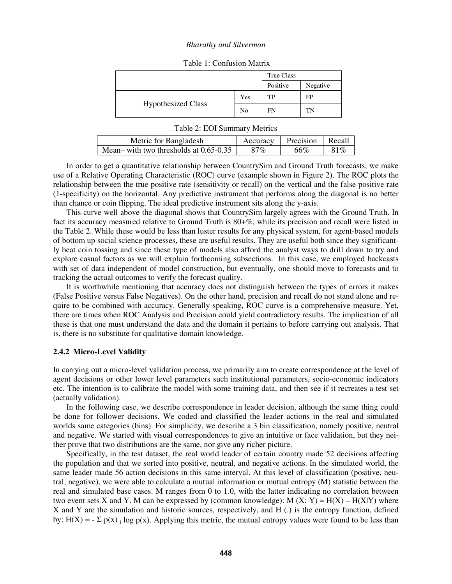|                           |     | True Class |          |
|---------------------------|-----|------------|----------|
|                           |     | Positive   | Negative |
| <b>Hypothesized Class</b> | Yes | TP         | FP       |
|                           | No  | FN         | TN.      |

#### Table 1: Confusion Matrix

#### Table 2: EOI Summary Metrics

| Metric for Bangladesh                     | Accuracv | Precision | $ $ Recall |
|-------------------------------------------|----------|-----------|------------|
| Mean-with two thresholds at $0.65 - 0.35$ | 87%      | 66%       | $81\%$     |

In order to get a quantitative relationship between CountrySim and Ground Truth forecasts, we make use of a Relative Operating Characteristic (ROC) curve (example shown in Figure 2). The ROC plots the relationship between the true positive rate (sensitivity or recall) on the vertical and the false positive rate (1-specificity) on the horizontal. Any predictive instrument that performs along the diagonal is no better than chance or coin flipping. The ideal predictive instrument sits along the y-axis.

This curve well above the diagonal shows that CountrySim largely agrees with the Ground Truth. In fact its accuracy measured relative to Ground Truth is 80+%, while its precision and recall were listed in the Table 2. While these would be less than luster results for any physical system, for agent-based models of bottom up social science processes, these are useful results. They are useful both since they significantly beat coin tossing and since these type of models also afford the analyst ways to drill down to try and explore casual factors as we will explain forthcoming subsections. In this case, we employed backcasts with set of data independent of model construction, but eventually, one should move to forecasts and to tracking the actual outcomes to verify the forecast quality.

It is worthwhile mentioning that accuracy does not distinguish between the types of errors it makes (False Positive versus False Negatives). On the other hand, precision and recall do not stand alone and require to be combined with accuracy. Generally speaking, ROC curve is a comprehensive measure. Yet, there are times when ROC Analysis and Precision could yield contradictory results. The implication of all these is that one must understand the data and the domain it pertains to before carrying out analysis. That is, there is no substitute for qualitative domain knowledge.

#### **2.4.2 Micro-Level Validity**

In carrying out a micro-level validation process, we primarily aim to create correspondence at the level of agent decisions or other lower level parameters such institutional parameters, socio-economic indicators etc. The intention is to calibrate the model with some training data, and then see if it recreates a test set (actually validation).

In the following case, we describe correspondence in leader decision, although the same thing could be done for follower decisions. We coded and classified the leader actions in the real and simulated worlds same categories (bins). For simplicity, we describe a 3 bin classification, namely positive, neutral and negative. We started with visual correspondences to give an intuitive or face validation, but they neither prove that two distributions are the same, nor give any richer picture.

Specifically, in the test dataset, the real world leader of certain country made 52 decisions affecting the population and that we sorted into positive, neutral, and negative actions. In the simulated world, the same leader made 56 action decisions in this same interval. At this level of classification (positive, neutral, negative), we were able to calculate a mutual information or mutual entropy (M) statistic between the real and simulated base cases. M ranges from 0 to 1.0, with the latter indicating no correlation between two event sets X and Y. M can be expressed by (common knowledge): M  $(X: Y) = H(X) - H(X|Y)$  where X and Y are the simulation and historic sources, respectively, and H (.) is the entropy function, defined by: H(X) = -  $\Sigma$  p(x) i log p(x). Applying this metric, the mutual entropy values were found to be less than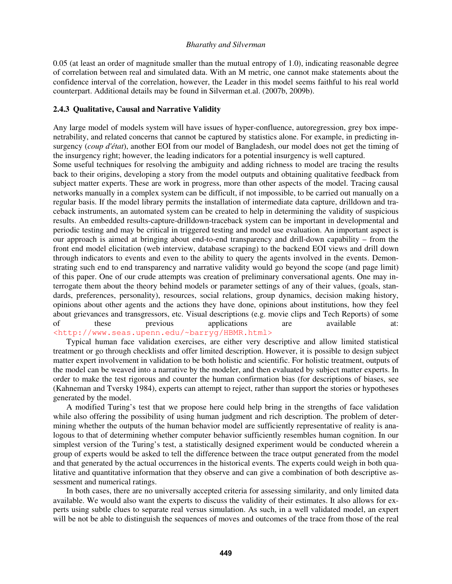0.05 (at least an order of magnitude smaller than the mutual entropy of 1.0), indicating reasonable degree of correlation between real and simulated data. With an M metric, one cannot make statements about the confidence interval of the correlation, however, the Leader in this model seems faithful to his real world counterpart. Additional details may be found in Silverman et.al. (2007b, 2009b).

# **2.4.3 Qualitative, Causal and Narrative Validity**

Any large model of models system will have issues of hyper-confluence, autoregression, grey box impenetrability, and related concerns that cannot be captured by statistics alone. For example, in predicting insurgency (*coup d'état*), another EOI from our model of Bangladesh, our model does not get the timing of the insurgency right; however, the leading indicators for a potential insurgency is well captured.

Some useful techniques for resolving the ambiguity and adding richness to model are tracing the results back to their origins, developing a story from the model outputs and obtaining qualitative feedback from subject matter experts. These are work in progress, more than other aspects of the model. Tracing causal networks manually in a complex system can be difficult, if not impossible, to be carried out manually on a regular basis. If the model library permits the installation of intermediate data capture, drilldown and traceback instruments, an automated system can be created to help in determining the validity of suspicious results. An embedded results-capture-drilldown-traceback system can be important in developmental and periodic testing and may be critical in triggered testing and model use evaluation. An important aspect is our approach is aimed at bringing about end-to-end transparency and drill-down capability – from the front end model elicitation (web interview, database scraping) to the backend EOI views and drill down through indicators to events and even to the ability to query the agents involved in the events. Demonstrating such end to end transparency and narrative validity would go beyond the scope (and page limit) of this paper. One of our crude attempts was creation of preliminary conversational agents. One may interrogate them about the theory behind models or parameter settings of any of their values, (goals, standards, preferences, personality), resources, social relations, group dynamics, decision making history, opinions about other agents and the actions they have done, opinions about institutions, how they feel about grievances and transgressors, etc. Visual descriptions (e.g. movie clips and Tech Reports) of some of these previous applications are available at: <http://www.seas.upenn.edu/~barryg/HBMR.html>

Typical human face validation exercises, are either very descriptive and allow limited statistical treatment or go through checklists and offer limited description. However, it is possible to design subject matter expert involvement in validation to be both holistic and scientific. For holistic treatment, outputs of the model can be weaved into a narrative by the modeler, and then evaluated by subject matter experts. In order to make the test rigorous and counter the human confirmation bias (for descriptions of biases, see (Kahneman and Tversky 1984), experts can attempt to reject, rather than support the stories or hypotheses generated by the model.

A modified Turing's test that we propose here could help bring in the strengths of face validation while also offering the possibility of using human judgment and rich description. The problem of determining whether the outputs of the human behavior model are sufficiently representative of reality is analogous to that of determining whether computer behavior sufficiently resembles human cognition. In our simplest version of the Turing's test, a statistically designed experiment would be conducted wherein a group of experts would be asked to tell the difference between the trace output generated from the model and that generated by the actual occurrences in the historical events. The experts could weigh in both qualitative and quantitative information that they observe and can give a combination of both descriptive assessment and numerical ratings.

In both cases, there are no universally accepted criteria for assessing similarity, and only limited data available. We would also want the experts to discuss the validity of their estimates. It also allows for experts using subtle clues to separate real versus simulation. As such, in a well validated model, an expert will be not be able to distinguish the sequences of moves and outcomes of the trace from those of the real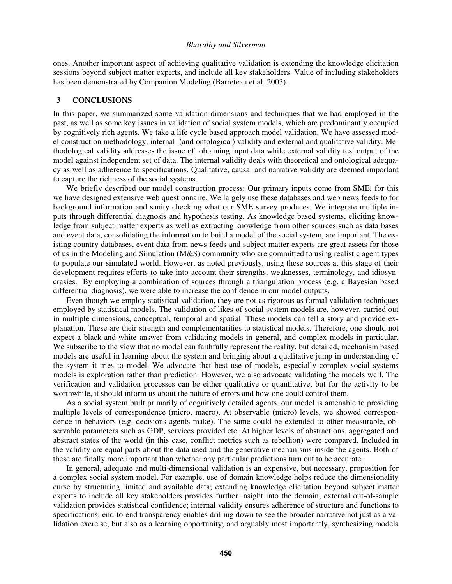ones. Another important aspect of achieving qualitative validation is extending the knowledge elicitation sessions beyond subject matter experts, and include all key stakeholders. Value of including stakeholders has been demonstrated by Companion Modeling (Barreteau et al. 2003).

## **3 CONCLUSIONS**

In this paper, we summarized some validation dimensions and techniques that we had employed in the past, as well as some key issues in validation of social system models, which are predominantly occupied by cognitively rich agents. We take a life cycle based approach model validation. We have assessed model construction methodology, internal (and ontological) validity and external and qualitative validity. Methodological validity addresses the issue of obtaining input data while external validity test output of the model against independent set of data. The internal validity deals with theoretical and ontological adequacy as well as adherence to specifications. Qualitative, causal and narrative validity are deemed important to capture the richness of the social systems.

We briefly described our model construction process: Our primary inputs come from SME, for this we have designed extensive web questionnaire. We largely use these databases and web news feeds to for background information and sanity checking what our SME survey produces. We integrate multiple inputs through differential diagnosis and hypothesis testing. As knowledge based systems, eliciting knowledge from subject matter experts as well as extracting knowledge from other sources such as data bases and event data, consolidating the information to build a model of the social system, are important. The existing country databases, event data from news feeds and subject matter experts are great assets for those of us in the Modeling and Simulation (M&S) community who are committed to using realistic agent types to populate our simulated world. However, as noted previously, using these sources at this stage of their development requires efforts to take into account their strengths, weaknesses, terminology, and idiosyncrasies. By employing a combination of sources through a triangulation process (e.g. a Bayesian based differential diagnosis), we were able to increase the confidence in our model outputs.

Even though we employ statistical validation, they are not as rigorous as formal validation techniques employed by statistical models. The validation of likes of social system models are, however, carried out in multiple dimensions, conceptual, temporal and spatial. These models can tell a story and provide explanation. These are their strength and complementarities to statistical models. Therefore, one should not expect a black-and-white answer from validating models in general, and complex models in particular. We subscribe to the view that no model can faithfully represent the reality, but detailed, mechanism based models are useful in learning about the system and bringing about a qualitative jump in understanding of the system it tries to model. We advocate that best use of models, especially complex social systems models is exploration rather than prediction. However, we also advocate validating the models well. The verification and validation processes can be either qualitative or quantitative, but for the activity to be worthwhile, it should inform us about the nature of errors and how one could control them.

As a social system built primarily of cognitively detailed agents, our model is amenable to providing multiple levels of correspondence (micro, macro). At observable (micro) levels, we showed correspondence in behaviors (e.g. decisions agents make). The same could be extended to other measurable, observable parameters such as GDP, services provided etc. At higher levels of abstractions, aggregated and abstract states of the world (in this case, conflict metrics such as rebellion) were compared. Included in the validity are equal parts about the data used and the generative mechanisms inside the agents. Both of these are finally more important than whether any particular predictions turn out to be accurate.

In general, adequate and multi-dimensional validation is an expensive, but necessary, proposition for a complex social system model. For example, use of domain knowledge helps reduce the dimensionality curse by structuring limited and available data; extending knowledge elicitation beyond subject matter experts to include all key stakeholders provides further insight into the domain; external out-of-sample validation provides statistical confidence; internal validity ensures adherence of structure and functions to specifications; end-to-end transparency enables drilling down to see the broader narrative not just as a validation exercise, but also as a learning opportunity; and arguably most importantly, synthesizing models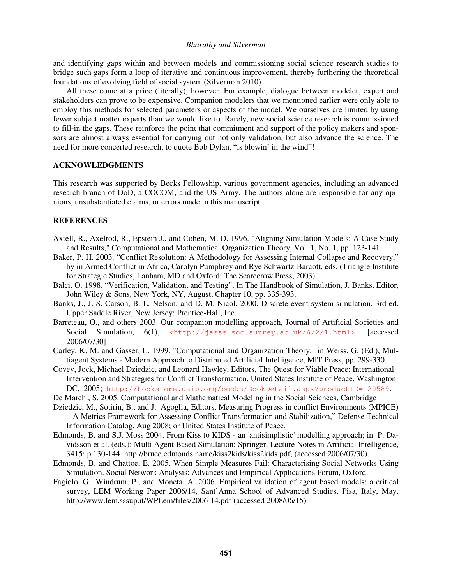and identifying gaps within and between models and commissioning social science research studies to bridge such gaps form a loop of iterative and continuous improvement, thereby furthering the theoretical foundations of evolving field of social system (Silverman 2010).

All these come at a price (literally), however. For example, dialogue between modeler, expert and stakeholders can prove to be expensive. Companion modelers that we mentioned earlier were only able to employ this methods for selected parameters or aspects of the model. We ourselves are limited by using fewer subject matter experts than we would like to. Rarely, new social science research is commissioned to fill-in the gaps. These reinforce the point that commitment and support of the policy makers and sponsors are almost always essential for carrying out not only validation, but also advance the science. The need for more concerted research, to quote Bob Dylan, "is blowin' in the wind"!

## **ACKNOWLEDGMENTS**

This research was supported by Becks Fellowship, various government agencies, including an advanced research branch of DoD, a COCOM, and the US Army. The authors alone are responsible for any opinions, unsubstantiated claims, or errors made in this manuscript.

#### **REFERENCES**

- Axtell, R., Axelrod, R., Epstein J., and Cohen, M. D. 1996. "Aligning Simulation Models: A Case Study and Results," Computational and Mathematical Organization Theory, Vol. 1, No. 1, pp. 123-141.
- Baker, P. H. 2003. "Conflict Resolution: A Methodology for Assessing Internal Collapse and Recovery," by in Armed Conflict in Africa, Carolyn Pumphrey and Rye Schwartz-Barcott, eds. (Triangle Institute for Strategic Studies, Lanham, MD and Oxford: The Scarecrow Press, 2003).
- Balci, O. 1998. "Verification, Validation, and Testing", In The Handbook of Simulation, J. Banks, Editor, John Wiley & Sons, New York, NY, August, Chapter 10, pp. 335-393.
- Banks, J., J. S. Carson, B. L. Nelson, and D. M. Nicol. 2000. Discrete-event system simulation. 3rd ed. Upper Saddle River, New Jersey: Prentice-Hall, Inc.
- Barreteau, O., and others 2003. Our companion modelling approach, Journal of Artificial Societies and Social Simulation, 6(1), <http://jasss.soc.surrey.ac.uk/6/2/1.html> [accessed 2006/07/30]
- Carley, K. M. and Gasser, L. 1999. "Computational and Organization Theory," in Weiss, G. (Ed.), Multiagent Systems - Modern Approach to Distributed Artificial Intelligence, MIT Press, pp. 299-330.
- Covey, Jock, Michael Dziedzic, and Leonard Hawley, Editors, The Quest for Viable Peace: International Intervention and Strategies for Conflict Transformation, United States Institute of Peace, Washington DC, 2005; http://bookstore.usip.org/books/BookDetail.aspx?productID=120589.

De Marchi, S. 2005. Computational and Mathematical Modeling in the Social Sciences, Cambridge

- Dziedzic, M., Sotirin, B., and J. Agoglia, Editors, Measuring Progress in conflict Environments (MPICE) – A Metrics Framework for Assessing Conflict Transformation and Stabilization," Defense Technical Information Catalog, Aug 2008; or United States Institute of Peace.
- Edmonds, B. and S.J. Moss 2004. From Kiss to KIDS an 'antisimplistic' modelling approach; in: P. Davidsson et al. (eds.): Multi Agent Based Simulation; Springer, Lecture Notes in Artificial Intelligence, 3415: p.130-144. http://bruce.edmonds.name/kiss2kids/kiss2kids.pdf, (accessed 2006/07/30).
- Edmonds, B. and Chattoe, E. 2005. When Simple Measures Fail: Characterising Social Networks Using Simulation. Social Network Analysis: Advances and Empirical Applications Forum, Oxford.
- Fagiolo, G., Windrum, P., and Moneta, A. 2006. Empirical validation of agent based models: a critical survey, LEM Working Paper 2006/14, Sant'Anna School of Advanced Studies, Pisa, Italy, May. http://www.lem.sssup.it/WPLem/files/2006-14.pdf (accessed 2008/06/15)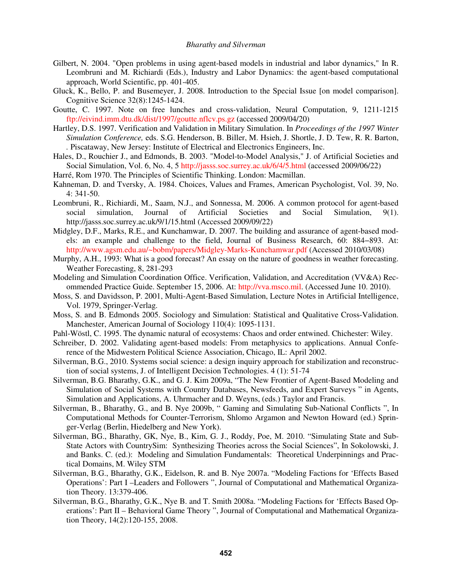- Gilbert, N. 2004. "Open problems in using agent-based models in industrial and labor dynamics," In R. Leombruni and M. Richiardi (Eds.), Industry and Labor Dynamics: the agent-based computational approach, World Scientific, pp. 401-405.
- Gluck, K., Bello, P. and Busemeyer, J. 2008. Introduction to the Special Issue [on model comparison]. Cognitive Science 32(8):1245-1424.
- Goutte, C. 1997. Note on free lunches and cross-validation, Neural Computation, 9, 1211-1215 ftp://eivind.imm.dtu.dk/dist/1997/goutte.nflcv.ps.gz (accessed 2009/04/20)
- Hartley, D.S. 1997. Verification and Validation in Military Simulation. In *Proceedings of the 1997 Winter Simulation Conference,* eds. S.G. Henderson, B. Biller, M. Hsieh, J. Shortle, J. D. Tew, R. R. Barton, *.* Piscataway, New Jersey: Institute of Electrical and Electronics Engineers, Inc.
- Hales, D., Rouchier J., and Edmonds, B. 2003. "Model-to-Model Analysis," J. of Artificial Societies and Social Simulation, Vol. 6, No. 4, 5 http://jasss.soc.surrey.ac.uk/6/4/5.html (accessed 2009/06/22)
- Harré, Rom 1970. The Principles of Scientific Thinking. London: Macmillan.
- Kahneman, D. and Tversky, A. 1984. Choices, Values and Frames, American Psychologist, Vol. 39, No. 4: 341-50.
- Leombruni, R., Richiardi, M., Saam, N.J., and Sonnessa, M. 2006. A common protocol for agent-based social simulation, Journal of Artificial Societies and Social Simulation, 9(1). http://jasss.soc.surrey.ac.uk/9/1/15.html (Accessed 2009/09/22)
- Midgley, D.F., Marks, R.E., and Kunchamwar, D. 2007. The building and assurance of agent-based models: an example and challenge to the field, Journal of Business Research, 60: 884−893. At: http://www.agsm.edu.au/~bobm/papers/Midgley-Marks-Kunchamwar.pdf (Accessed 2010/03/08)
- Murphy, A.H., 1993: What is a good forecast? An essay on the nature of goodness in weather forecasting. Weather Forecasting, 8, 281-293
- Modeling and Simulation Coordination Office. Verification, Validation, and Accreditation (VV&A) Recommended Practice Guide. September 15, 2006. At: http://vva.msco.mil. (Accessed June 10. 2010).
- Moss, S. and Davidsson, P. 2001, Multi-Agent-Based Simulation, Lecture Notes in Artificial Intelligence, Vol. 1979, Springer-Verlag.
- Moss, S. and B. Edmonds 2005. Sociology and Simulation: Statistical and Qualitative Cross-Validation. Manchester, American Journal of Sociology 110(4): 1095-1131.
- Pahl-Wöstl, C. 1995. The dynamic natural of ecosystems: Chaos and order entwined. Chichester: Wiley.
- Schreiber, D. 2002. Validating agent-based models: From metaphysics to applications. Annual Conference of the Midwestern Political Science Association, Chicago, IL: April 2002.
- Silverman, B.G., 2010. Systems social science: a design inquiry approach for stabilization and reconstruction of social systems, J. of Intelligent Decision Technologies. 4 (1): 51-74
- Silverman, B.G. Bharathy, G.K., and G. J. Kim 2009a, "The New Frontier of Agent-Based Modeling and Simulation of Social Systems with Country Databases, Newsfeeds, and Expert Surveys " in Agents, Simulation and Applications, A. Uhrmacher and D. Weyns, (eds.) Taylor and Francis.
- Silverman, B., Bharathy, G., and B. Nye 2009b, " Gaming and Simulating Sub-National Conflicts ", In Computational Methods for Counter-Terrorism, Shlomo Argamon and Newton Howard (ed.) Springer-Verlag (Berlin, Hiedelberg and New York).
- Silverman, BG., Bharathy, GK, Nye, B., Kim, G. J., Roddy, Poe, M. 2010. "Simulating State and Sub-State Actors with CountrySim: Synthesizing Theories across the Social Sciences", In Sokolowski, J. and Banks. C. (ed.): Modeling and Simulation Fundamentals: Theoretical Underpinnings and Practical Domains, M. Wiley STM
- Silverman, B.G., Bharathy, G.K., Eidelson, R. and B. Nye 2007a. "Modeling Factions for 'Effects Based Operations': Part I –Leaders and Followers ", Journal of Computational and Mathematical Organization Theory. 13:379-406.
- Silverman, B.G., Bharathy, G.K., Nye B. and T. Smith 2008a. "Modeling Factions for 'Effects Based Operations': Part II – Behavioral Game Theory ", Journal of Computational and Mathematical Organization Theory, 14(2):120-155, 2008.